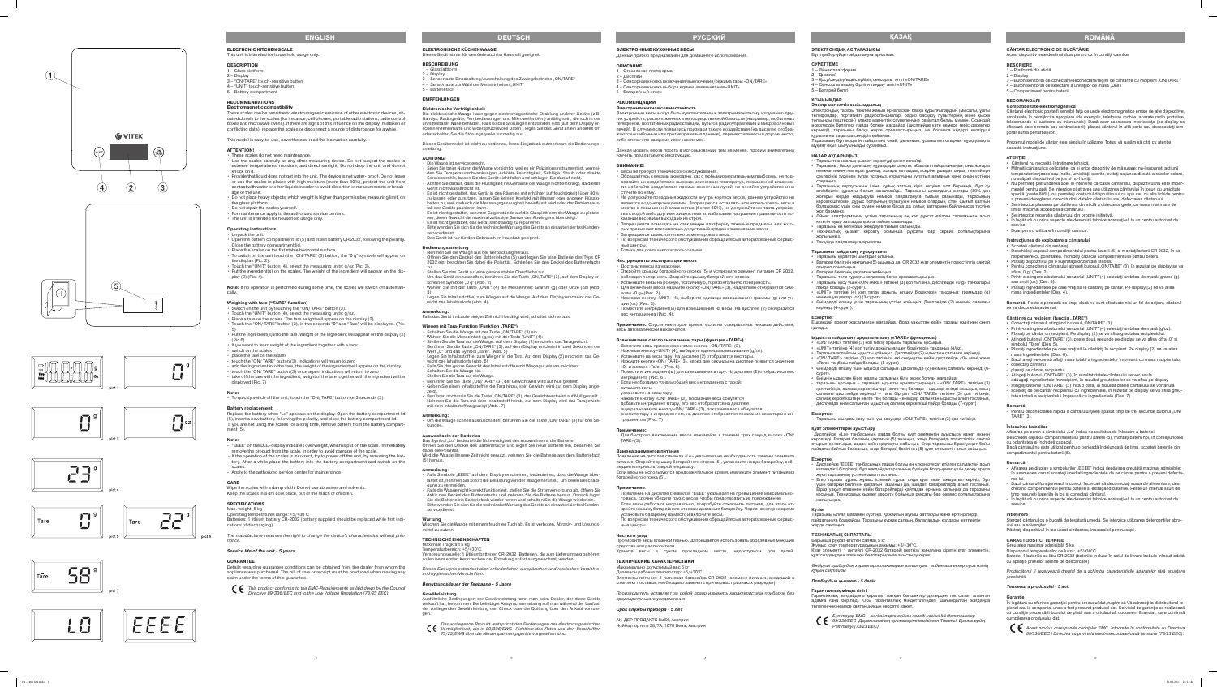## **CÂNTAR ELECTRONIC DE BUCĂTĂRIE**

Acest dispozitiv este destinat doar pentru uz în conditii casnice.

## **DESCRIERE**

Cântarul electronic poate fi sensibil faţă de unde electromagnetice emise de alte dispozitive, amplasate în nemijlocita apropiere (de exemplu, telefoane mobile, aparate radio portative, telecomande si cuptoare cu microunde). Dacă apar asemenea interferențe (pe display se afisează date eronate sau contradictorii), plasaţi cântarul în altă parte sau deconectaţi tem porar sursa perturbatiilor.

- 1 Platformă din sticlă
- 2 Display
- 3 Buton senzorial de conectare/deconectare/regim de cântărire cu recipient "ON/TARE" 4 – Buton senzorial de selectare a unităților de masă "UNIT"
- 5 Compartiment pentru baterii
- **RECOMANDĂRI**

## **Compatibilitate electromagnetică**

Prezentul model de cântar este simplu în utilizare. Totusi vă rugăm să citiți cu atenție această instrucţiune.

- 
- Scoateţi cântarul din ambalaj.<br>• Deschideţi capacul comparṭimentului pentru baterii (5) si montaţi baterii CR 2032, în corespundere cu polaritatea. Închideți capacul compartimentului pentru baterii.<br>• Plasati dispozitivul pe o suprafată orizontală stabilă.
- Pentru conectarea cântarului atingeți butonul "ON/TARE" (3), în rezultat pe display se va afisa  $.0$  g" (Des. 2).
- Printr-o atingere a butonului senzorial "UNIT" (4) selectați unitatea de masă: grame (g) sau uncii (oz) (Des. 3).
- Plasaţi ingredientele pe care vreţi să le cântăriţi pe cântar. Pe display (2) se va afisa masa ingredientelor (Des. 4).
- **ATENŢIE!**
- Mânuiți cântarul cu delicatețe, ca si orice dispozitiv de măsurare; nu-l supuneți acțiunii temperaturilor joase sau înalte, umidității sporite, evitați acțiunea directă a razelor solare, nu scăpați dispozitivul pe jos si nu-l loviți.
- Nu permiteţi pătrunderea apei în interiorul carcasei cântarului, dispozitivul nu este imper meabil pentru apă. Se interzice păstrarea sau utilizarea cântarului în locuri cu umiditate sporită (peste 80%), nu permiteti contactul dispozitivului cu apa sau cu alte lichide pentru a preveni dereglarea corectitudinii datelor cântarului sau defectarea cântarului.
- Se interzice plasarea pe platforma din sticlă a obiectelor grele, cu masa mai mare de limita maximal accesibilă a cântarului.<br>Se interzice reparația cântarului din proprie inițiativă.
- 
- În legătură cu orice aspecte ale deservirii tehnice adresaţi-vă la un centru autorizat de service.
- Doar pentru utilizare în condiţii casnice.

- Cântărire cu recipient (funcția "TARE")<br>• Conectați cântarul, atingând butonul "ON/TARE" (3).
- 
- Printr-o atingere a butonului senzorial "UNIT" (4) selectați unitatea de masă (g/oz).<br>• Plasați pe cântar un recipient. Pe display (2) se va afisa greutatea recipientului.<br>• Atingeți butonul "ON/TARE" (3), peste două sec
- simbolul "Tare" (Des. 5).
- Plasaţi ingredientele pe care vreţi să le cântăriţi în recipient. Pe display (2) se va afisa masa ingredientelor (Des. 6).
- Dacă aveţi nevoie să aflaţi masa totală a ingredientelor împreună cu masa recipientului: - conectaţi cântarul
- plasați pe cântar recipientul
- Atingeți butonul "ON/TARE" (3), în rezultat datele cântarului se vor anula
- adăugați ingredientele în recipient, în rezultat greutatea lor se va afisa pe display
- atingeți butonul "ON/TARE" (3) încă o dată, în rezultat datele cântarului se vor anula - scoateţi de pe cântar recipientul cu ingredientele, în rezultat pe display se va afisa greu tatea totală a recipientului împreună cu ingredientele (Des. 7)

## **Instrucţiunea de exploatare a cântarului**

- Pentru deconectarea rapidă a cântarului țineți apăsat timp de trei secunde butonul "ON/ TARE" (3).

Deschideti capacul compartimentului pentru baterii (5), montați baterii noi, în corespundere cu polaritatea si închideţi capacul. Dacă cântarul nu este utilizat pentru o perioadă îndelungată de timp, scoateţi bateriile din compartimentul pentru baterii (5).

- Afisarea pe display a simbolurilor "EEEE" indică depăsirea greutății maximal admisibile; în asemenea cazuri scoateţi imediat ingredientele de pe cântar pentru a preveni defecta rea lui.
- Dacă cântarul funcţionează incorect, încercaţi să deconectaţi sursa de alimentare, des chizând compartimentul pentru baterie si extrăgând bateriile. Peste un interval scurt de timp repuneţi bateriile la loc si conectaţi cântarul.
- În legătură cu orice aspecte ale deservirii tehnice adresaţi-vă la un centru autorizat de service.

Stergeţi cântarul cu o bucată de ţesătură umedă. Se interzice utilizarea detergenţilor abra zivi sau a solventilor

## Păstrați dispozitivul în loc uscat si răcoros, inaccesibil pentru copii.

**Remarcă:** Peste o perioadă de timp, dacă nu sunt efectuate nici un fel de acţiuni, cântarul se va deconecta automat.

### **Remarcă:**

### **Înlocuirea bateriilor**

Afisarea pe ecran a simbolului "Lo" indică necesitatea de înlocuire a bateriei.

### **Remarcă:**

### **întreţinere**

**Ескертпе**:<br>- Дисплейде "EEEE" таңбасының пайда болуы ең үлкен рұқсат етілген салмақтан асып кеткендікті білдіреді, бұл жағдайда таразының бүлінуін болдырмас үшін дереу арада

## **CARACTERISTICI TEHNICE**

Greutatea maximal admisibilă 5 kg Diapazonul temperaturilor de lucru: +5/+30°C Baterie: 1 bateriile cu litiu CR-2032 (bateriile incluse în setul de livrare trebuie înlocuit odată cu apariţia primelor semne de descărcare)

*Producătorul îi rezervează dreptul de a schimba caracteristicile aparatelor fără anunţare prealabilă.* 

## *Termenul a produsului - 5 ani.*

## **Garanţie**

În legătură cu oferirea garanţiei pentru produsul dat, rugăm să Vă adresaţi la distribuitorul re gional sau la compania, unde a fost procurat produsul dat. Serviciul de garanţie se realizează cu condiţia prezentării bonului de plată sau a oricărui alt document financiar, care confirmă cumpărarea produsului dat.



*Acest produs corespunde cerinţelor EMC, întocmite în conformitate cu Directiva 89/336/EEC i Directiva cu privire la electrosecuritate/joasă tensiune (73/23 EEC).*

## **ЭЛЕКТРОНДЫҚ АС ТАРАЗЫСЫ**

## Бұл прибор үйде пайдалануға арналған.

## **СУРЕТТЕМЕ**

- 1 Әйнек платформа 2 – Дисплей
- 3 Қосу/сөндіру/ыдыс күйінің сенсорлы тетігі «ON/TARE»
- 4 Сенсорлы өлшеу бірлігін таңдау тетігі «UNIT»
- 5 Батарей бөлігі

## **ҰСЫНЫМДАР**

## **Электр магниттік сыйымдылық**

Электрондық таразы тікелей жақын орналасқан басқа құрылғылардың (мысалы, ұялы телефондар, портативті радиостанциялар, радио басқару пульттерінің және қысқа толқынды пештердің) электр магниттік сәулеленуіне сезімтал болуы мүмкін. Осындай әсерлердің белгілері пайда болған жағдайда (дисплейде қате немесе теріс деректер көрінеді), таразыны басқа жерге ореаластырыңыз, не болмаса кедергі келтіруші құрылғыны уақытша сөндіріп қойыңыз.

Таразының бұл моделін пайдалану оңай, дегенмен, ұсынылып отырған нұсқаулықты мұқият оқып шығуыңызды сұраймыз.

#### **НАЗАР АУДАРЫҢЫЗ!** • Таразы техникалық қызмет көрсетуді қажет етпейді.

• Таразыны, басқа да өлшеу құралдары сияқты, абайлап пайдаланыңыз, оны жоғары немесе төмен температураның, жоғары ылғалдық әсеріне ұшыратпаңыз, тікелей күн сәулесінің түсуінен аулақ ұстаңыз, құрылғыны құлатып алмаңыз және оның үстінен

соқпаңыз.

• Таразының корпусының ішіне сұйық заттың кіріп кетуіне жол бермеңіз, бұл су өткізбейтін құрылғы болып саналмайды. Таразыны ылғалдығы жоғары (80%-дан жоғары) жерде қалдыруға немесе пайдалануға тыйым салынады, таразының көрсеткіштерінің дұрыс болуының бұзылуын немесе олардың істен шығып қалуын болдырмас үшін оны сумен немесе басқа да сұйық заттармен байланысқа түсуіне

- 
- 
- Включите весы прикосновением к кнопке «ON/TARE» (3).<br>• Нажимая кнопку «UNIT» (4), выберите единицы взвешивания (g/oz).<br>• Установите на весы тару. На дисплее (2) отобразится вес тары.<br>• Нажмите кнопку «ON/TARE» (3), чере «0» и символ «Tare». (Рис. 5)
- Поместите ингредиент(ы) для взвешивания в тару. На дисплее (2) отобразится вес ингредиента (Рис. 6).
- Если необходимо узнать общий вес ингредиента с тарой:
- включите весы - установите на весы тару
- нажмите кнопку «ON/ TARE» (3), показания веса обнулятся
- добавьте ингредиент в тару, его вес отобразится на дисплее
- еще раз нажмите кнопку «ON/ TARE» (3), показания веса обнулятся
- снимите тару с ингредиентом, на дисплее отобразится показание веса тары с ин гредиентом (Рис. 7)

жол бермеңіз.

• Әйнек платформаның үстіне таразының ең көп рұқсат етілген салмағынан асып

• Техникалық қызмет көрсету бойынша рұқсаты бар сервис орталықтарына

жолығыңыз.

• Тек үйде пайдалануға арналған. **Таразыны пайдалану нұсқаулығы** • Таразыны қораптан шығарып алыңыз.

• Батарей бөлігінің қақпағын (5) ашыңыз да, CR 2032 қуат элементін полюстілігін сақтай

отырып орнатыңыз.

• Батарей бөлігінің қақпағын жабыңыз.

## **ROMANA**

• Таразыны тегіс тұрақты көлденең бетке орналастырыңыз.

• Таразыны қосу үшін «ON/TARE» тетігіне (3) қол тигізіңіз, дисплейде «0 g» таңбалары

пайда болады (2-сурет).

• «UNIT» тетігіне (4) қол тигізу арқылы өлшеу бірліктерін таңдаңыз: граммдар (g)

немесе унциялар (oz) (3-сурет).

• Өнімдерді өлшеу үшін таразының үстіне қойыңыз. Дисплейде (2) өнімнің салмағы

- 2 Display
- 3 Sensortaste Einschaltung/Ausschaltung des Zuwiegebetriebs "ON/TARE" 4 – Sensortaste zur Wahl der Messeinheiten "UNIT"
- 5 Batteriefach

көрінеді (4-сурет).

**Ескертпе:**

Ешқандай әрекет жасалмаған жағдайда, біраз уақыттан кейін таразы өздігінен сөніп

• «UNIT» тетігіне (4) қол тигізу арқылы өлшеу бірліктерін таңдаңыз (g/oz).<br>• Таразыға аспайтын ыдысты қойыңыз. Дисплейде (2) ыдыстың салмағы көрінеді.<br>• «ON/ TARE» тетігіне (3) кол тигізініз, екі секундтан кейін дисплейде

қалады.

**Ыдысты пайдалану арқылы өлшеу («TARE» функциясы)** • «ON/ TARE» тетігіне (3) қол тигізу арқылы таразыны қосыңыз.

«Tare» таңбасы пайда болады. (5-сурет)

• Өнімдерді өлшеу үшін ыдысқа салыңыз. Дисплейде (2) өнімнің салмағы көрінеді (6-

сурет).

• Өнімнің ыдыспен бірге жалпы салмағын білу керек болған жағдайда:

кететін ауыр заттарды қоюға тыйым салынады.<br>Таразыны өз бетіңізше жөндеуге тыйым салынады

- Die Waage ist servicegerecht.
- Sonnenstrahle, lassen Sie das Gerät nicht fallen und schlagen Sie darauf nicht. Gerät nicht wasserdicht ist.
- Es ist nicht gestattet, das Gerät in den Räumen mit erhöhter Luftfeuchtigkeit (über 80%)
- fall des Geräts passieren kann.
- ren, deren Gewicht die maximal zulässige Grenze des Abwiegens übersteigt. • Es ist nicht gestattet, das Gerät selbständig zu reparieren.
- 
- servicedienst. • Das Gerät ist nur für den Gebrauch im Haushalt geeignet.

- таразыны қосыңыз – таразыға ыдысты орналастырыңыз - «ON/ TARE» тетігіне (3) қол тигізіңіз, салмақ көрсеткіштері нөлге тең болады – ыдысқа өнімді қосыңыз, оның салмағы дисплейде көрінеді – тағы бір рет «ON/ TARE» тетігіне (3) қол тигізіңіз, салмақ көрсеткіштері нөлге тең болады - өнімдер салынған ыдысты алып тастаңыз, дисплейде өнім салынған ыдыстың салмақ көрсеткіші пайда болады (7-сурет)

**Ескертпе:**

- Таразыны жылдам қосу үшін үш секундқа «ON/ TARE» тетігіне (3) қол тигізіңіз.

**Қуат элементтерін ауыстыру** 

Дисплейде «Lo» таңбасының пайда болуы қуат элементін ауыстыру қажет екенін көрсетеді. Батарей бөлігінің қақпағын (5) ашыңыз, жаңа батарейді полюстілігін сақтай отырып орнатыңыз, содан кейін қақпақты жабыңыз. Егер таразыны біраз уақыт бойы пайдаланбайтын болсаңыз, онда батарей бөлігінен (5) қуат элементін алып қойыңыз.

- Wählen Sie die Messeinheit (g/oz) mit der Taste "UNIT" (4):<br>• Stellen Sie die Tara auf die Waage. Auf dem Display (2) erscheint das Taragewicht.<br>• Berühren Sie die Taste "ON/TARE" (3), auf dem Display erscheint in zwei S
	- Wert "0" und das Symbol "Tare". (Abb. 5) • Legen Sie Inhaltsstoff(e) zum Wiegen in die Tara. Auf dem Display (2) erscheint das Ge wicht des Inhaltsstoffs (Abb. 6)
	- Falls Sie das ganze Gewicht des Inhaltsstoffes mit Wiegegut wissen möchten: Schalten Sie die Waage ein.
	- Stellen Sie die Tara auf die Waage.
	- Geben Sie einen Inhaltsstoff in die Tara hinzu, sein Gewicht wird auf dem Display ange-
	- zeigt. - Berühren nochmals Sie die Taste "ON/TARE" (3), der Gewichtwert wird auf Null gestellt. Nehmen Sie die Tara mit dem Inhaltsstoff herab, auf dem Display wird das Taragewicht mit dem Inhaltsstoff angezeigt (Abb.. 7)

жүкті таразының үстінен алып тастаңыз.

– Егер таразы дұрыс жұмыс істемей тұрса, онда қуат көзін ажыратып көріңіз, бұл үшін батарей бөлігінің қақпағын ашыңыз да, ішіндегі батарейлерді алып тастаңыз. Біраз уақыт өткеннен кейін батарейлерді қайтадан орнына салыңыз да таразыны қосыңыз. Техникалық қызмет көрсету бойынша рұқсаты бар сервис орталықтарына

жолығыңыз.

**Күтімі** 

Таразыны ылғал матамен сүртіңіз. Қажайтын жуғыш заттарды және ерітінділерді пайдалануға болмайды. Таразыны құрғақ салқын, балалардың қолдары жетпейтін

жерде сақтаңыз.

**ТЕХНИКАЛЫҚ СИПАТТАРЫ**  Барынша рұқсат етілген салмақ 5 кг.

Жұмыс істеу температурасының ауқымы: +5/+30°C.

Қуат элементі: 1 литийлі CR-2032 батарейі (жеткізу жинағына кіретін қуат элементін,

қуатсызданудың алғашқы белгілерінде-ақ ауыстыру керек)

*Өндiрушi прибордың характеристикаларын өзгертуге, алдын ала ескертусiз өзiнiң* 

*құқын сақтайды* 

*Прибордын қызмет - 5 дейiн*

**Гарантиялық мiндеттiлiгi**

Гарантиялық жағдайдағы қаралып жатқан бөлшектер дилерден тек сатып алынған адамға ғана берiледi. Осы гарантиялық мiндеттiлiгiндегi шағымдалған жағдайда

төлеген чек немесе квитанциясын көрсетуi қажет.

*Бұл тауар ЕМС – жағдайларға сәйкес келедi негiзгi Мiндеттемелер 89/336/EEC Дерективаның ережелерiне енгiзiлген Төменгi Ережелердiң* 

*Реттелуi (73/23 EEC)*

## **Қазақ**

5

## **ЭЛЕКТРОННЫЕ КУХОННЫЕ ВЕСЫ**

## Данный прибор предназначен для домашнего использования.

## **ОПИСАНИЕ**

- 1 Стеклянная платформа 2 – Дисплей
- 3 Сенсорная кнопка включения/выключения/режима тары «ON/TARE»
- 4 Сенсорная кнопка выбора единиц взвешивания «UNIT» 5 – Батарейный отсек

## **РЕКОМЕНДАЦИИ**

### **Электромагнитная совместимость** Электронные весы могут быть чувствительны к электромагнитному излучению дру гих устройств, расположенных в непосредственной близости (например, мобильных телефонов, портативных радиостанций, пультов радиоуправления и микроволновых печей). В случае если появились признаки такого воздействия (на дисплее отобра жаются ошибочные или противоречивые данные), переместите весы в другое место, либо отключите на время источник помех.

Данная модель весов проста в использовании, тем не менее, просим внимательно изучить предлагаемую инструкцию.

## **ВНИМАНИЕ!**

- **Weighing with tare ("TARE" function)**<br>
 Switch on the unit by touching the "ON/TARE" button (3).
- 
- Touch the "UNIT" button (4), select the measuring units: g/oz.<br>• Place a tare on the scales. The tare weight will appear on the display (2).<br>• Touch the "ON/ TARE" button (3), in two seconds "0" and "Tare" will be displ
- 5) • Put the ingredient(s) into the tare. Weight of the ingredient will appear on the display (2) (Pic 6).
- If you want to learn weight of the ingredient together with a tare:
- switch on the scales
- place the tare on the scales
- touch the "ON/ TARE" button (3), indications will return to zero
- add the ingredient into the tare, the weight of the ingredient will appear on the display - touch the "ON/ TARE" button (3) once again, indications will return to zero
- take off the tare with the ingredient, weight of the tare together with the ingredient will be displayed (Pic. 7)
- Весы не требуют технического обслуживания.
- Обращайтесь с весами аккуратно, как с любым измерительным прибором, не под вергайте их воздействию высоких или низких температур, повышенной влажнос ти, избегайте воздействия прямых солнечных лучей, не роняйте устройство и не стучите по нему.
- Не допускайте попадания жидкости внутрь корпуса весов, данное устройство не является водонепроницаемым. Запрещается оставлять или использовать весы в местах с повышенной влажностью (более 80%), не допускайте контакта устройс тва с водой либо другими жидкостями во избежание нарушения правильности по казаний весов или выхода их из строя.
- Запрещается помещать на стеклянную платформу тяжелые предметы, вес кото рых превышает максимально допустимый предел взвешивания весов.
- Запрещается самостоятельно ремонтировать весы.
- По вопросам технического обслуживания обращайтесь в авторизованные сервис ные центры.
- Только для домашнего использования.

#### **Инструкция по эксплуатации весов** • Достаньте весы из упаковки.

Details regarding quarantee conditions can be obtained from the dealer from whom the appliance was purchased. The bill of sale or receipt must be produced when making any claim under the terms of this guarantee.

- Откройте крышку батарейного отсека (5) и установите элемент питания CR 2032, соблюдая полярность. Закройте крышку батарейного отсека.
- Установите весы на ровную, устойчивую, горизонтальную поверхность.
- Для включения весов нажмите кнопку «ON/TARE» (3), на дисплее отобразятся сим волы «0 g» (Рис. 2). • Нажимая кнопку «UNIT» (4), выберите единицы взвешивания: граммы (g) или ун -
- ции (oz) (Рис. 3). • Поместите ингредиент(ы) для взвешивания на весы. На дисплее (2) отобразится
- вес ингредиента (Рис. 4).

**Примечание:** Спустя некоторое время, если не совершались никакие действия, весы автоматически выключатся.

## **Взвешивания с использованием тары (функция «TARE»)**

**Примечание:**

- Для быстрого выключения весов нажимайте в течение трех секунд кнопку «ON/ TARE» (3).

### **Замена элементов питания**

Появление на дисплее символа «Lo» указывает на необходимость замены элемента питания. Откройте крышку батарейного отсека (5), установите новую батарейку, соб людая полярность, закройте крышку.

Если весы не используются продолжительное время, извлеките элемент питания из батарейного отсека (5).

## **Примечание**:

- Появление на дисплее символов "EEEE" указывает на превышение максимально го веса, срочно уберите груз с весов, чтобы предотвратить их повреждение. - Если весы работают неправильно, попробуйте отключить питание, для этого от чйного отсека и лоста установите батарейку на место и включите весы.
- По вопросам технического обслуживания обращайтесь в авторизованные сервис ные центры.

## **Чистка и**  у**ход**

Протирайте весы влажной тканью. Запрещается использовать абразивные моющие средства или растворители. Храните весы в сухом прохладном месте, недоступном для детей.

## **ТЕХНИЧЕСКИЕ ХАРАКТЕРИСТИКИ**

Максимально допустимый вес 5 кг Диапазон рабочих температур: +5/+30°C

Элементы питания: 1 литиевая батарейка CR-2032 (элемент питания, входящий в комплект поставки, необходимо заменить при первых признаках разрядки)

Производитель оставляет за собой право изменять характеристики приборов без предварительного уведомления

## **Срок службы прибора - 5 лет**

АН-ДЕР ПРОДАКТС ГмбХ, Австрия Нойбаугюртель 38/7А, 1070 Вена, Австрия

## **русски й**

4

**ELEKTRONISCHE KÜCHENWAAGE**

## Dieses Gerät ist nur für den Gebrauch im Haushalt geeignet .

## **BESCHREIBUNG** 1 – Glasplattform

## **EMPFEHLUNGEN**

# **Elektronische Verträglichkeit**

Die elektronische Waage kann gegen elektromagnetische Strahlung anderer Geräte (z.B. Handys, Radiogeräte, Fernbedienungen und Mikrowellenöfen) anfällig sein, die sich in der unmittelbaren Nähe befinden. Falls solche Störungen entstanden sind (auf dem Display er scheinen fehlerhafte und widerspruchsvolle Daten), legen Sie das Gerät an ein anderes Ort

oder schalten Sie die Störungsquelle kurzzeitig aus.

Dieses Gerätemodell ist leicht zu bedienen, lesen Sie jedoch aufmerksam die Bedienungs -

## anleitung. **ACHTUNG!**

• Seien Sie beim Nutzen der Waage vorsichtig, weil es ein Präzisionsinstrument ist, vermei den Sie Temperaturschwankungen, erhöhte Feuchtigkeit, Schläge, Staub oder direkte • Achten Sie darauf, dass die Flüssigkeit ins Gehäuse der Waage nicht eindringt, da dieses

zu lassen oder zunutzen, lassen Sie keinen Kontakt mit Wasser oder anderen Flüssig keiten zu, weil dadurch die Messungsgenauigkeit beeinflusst wird oder der Betriebsaus -

• Es ist nicht gestattet, schwere Gegenstände auf die Glasplattform der Waage zu platzie -

• Bitte wenden Sie sich für die technische Wartung des Geräts an ein autorisiertes Kunden -

## **Bedienungsanleitung**

2032 ein, beachten Sie dabei die Polarität. Schließen Sie den Deckel des Batteriefachs

• Wählen Sie mit der Taste "UNIT" (4) die Messeinheit: Gramm (g) oder Unze (oz) (Abb.

Berühren Sie die Taste "ON/TARE" (3), der Gewichtwert wird auf Null gestellt.

- Um die Waage schnell auszuschalten, berühren Sie die Taste "ON/TARE" (3) für drei Se-

- Falls Symbole "EEEE" auf dem Display erscheinen, bedeutet es, dass die Waage über-

- Nehmen Sie die Waage aus der Verpackung heraus. • Öffnen Sie den Deckel des Batteriefachs (5) und legen Sie eine Batterie des Typs CR zu.
- Stellen Sie das Gerät auf eine gerade stabile Oberfläche auf. Um das Gerät einzuschalten, berühren Sie die Taste "ON/TARE" (3), auf dem Display erscheinen Symbole "0 g" (Abb. 2).
- 3). • Legen Sie Inhaltsstoff(e) zum Wiegen auf die Waage. Auf dem Display erscheint das Ge wicht des Inhaltsstoffs (Abb. 4).

## **Anmerkung:**

Falls das Gerät im Laufe einiger Zeit nicht betätigt wird, schaltet sich es aus.

## **Wiegen mit Tara-Funktion (Funktion "TARE")**<br>Chalten Sie die Waage mit der Taste "ON/TARE" (3) ein.

## **Anmerkung:**

kunden. **Auswechseln der Batterien**

## Das Symbol "Lo" bedeutet die Notwendigkeit des Auswechselns der Batterie. Öffnen Sie den Deckel des Batteriefachs und legen Sie neue Batterie ein, beachten Sie

dabei die Polarität. Wird die Waage längere Zeit nicht genutzt, nehmen Sie die Batterie aus dem Batteriefach (5) heraus.

### **Anmerkung**:

 Falls die Waage nicht korrekt funktioniert, stellen Sie die Stromversorgung ab, öffnen Sie dafür den Deckel des Batteriefachs und nehmen Sie die Batterie heraus. Danach legen

Wischen Sie die Waage mit einem feuchten Tuch ab. Es ist verboten, Abrasiv- und Lösungs-

- lastet ist, nehmen Sie sofort die Belastung von der Waage herunter, um deren Beschädi gung zu vermeiden.
- Sie die Batterie ins Batteriefach wieder herein und schalten Sie die Waage wieder ein. Bitte wenden Sie sich für die technische Wartung des Geräts an ein autorisiertes Kunden servicedienst.

## **Wartung** mittel zu nutzen.

**TECHNISCHE EIGENSCHAFTEN**

Maximale Tragkraft 5 kg Temperaturbereich: +5/+30°C.

Versorgungsquelle: 1 Lithiumbatterien CR2032 (Batterien, die zum Lieferumfang gehören, sollen beim ersten Kennzeichen der Entladung sofort ausgewechselt werden).

Dieses Erzeugnis entspricht allen erforderlichen europäischen und russischen Vorsichts

und hygienischen Vorschriften.

**Benutzungsdauer der Teekanne - 5 Jahre**

**Gewährleistung** 

Ausführliche Bedingungen der Gewährleistung kann man beim Dealer, der diese Geräte verkauft hat, bekommen. Bei beliebiger Anspruchserhebung soll man während der Laufzeit der vorliegenden Gewährleistung den Check oder die Quittung über den Ankauf vorzule -

gen.

Das vorliegende Produkt entspricht den Forderungen der elektromagnetischen Verträglichkeit, die in 89/336/EWG -Richtlinie des Rates und den Vorschriften 73/23/EWG über die Niederspannungsgeräte vorgesehen sind.

3

## **ELECTRONIC KITCHEN SCALE**

## This unit is intended for household usage only.

## **DESCRIPTION**

- 1 Glass platform
- 2 Display 3 – "ON/TARE" touch-sensitive button
- 4 "UNIT" touch-sensitive button
- 5 Battery compartment

## **RECOMMENDATIONS**

**Electromagnetic compatibility** These scales can be sensitive to electromagnetic emission of other electronic devices, sit uated closely to the scales (for instance, cell phones, portable radio stations, radio control boxes and microwave ovens). If there are signs of this influence on the display (mistaken or conflicting data), replace the scales or disconnect a source of disturbance for a while.

This model is easy-to-use, nevertheless, read the instruction carefully.

#### **ATTENTION!** • These scales do not need maintenance.

- Use the scales carefully as any other measuring device. Do not subject the scales to extreme temperatures, moisture, and direct sunlight. Do not drop the unit and do not knock on it.
- Provide that liquid does not get into the unit. The device is not water- proof. Do not leave or use the scales in places with high moisture (more than 80%), protect the unit from contact with water or other liquids in order to avoid distortion of measurements or break age of the unit.
- Do not place heavy objects, which weight is higher than permissible measuring limit, on the glass platform.
- Do not repair the scales yourself.
- For maintenance apply to the authorized service centers. • The unit is intended for household usage only.

## **Operating instructions**

- Unpack the unit.
- Open the battery compartment lid (5) and insert battery CR 2032, following the polarity. Close the battery compartment lid.
- Place the scales on the flat stable horizontal surface.
- To switch on the unit touch the "ON/TARE" (3) button, the "0 g" symbols will appear on the display (Pic. 2).
- Touch the "UNIT" button (4), select the measuring units: g/oz (Pic. 3). • Put the ingredient(s) on the scales. The weight of the ingredient will appear on the dis play (2) (Pic. 4).

**Note:** If no operation is performed during some time, the scales will switch off automati cally.

## **Note:**

- To quickly switch off the unit, touch the "ON/ TARE" button for 3 seconds (3).

## **Battery replacement**

Replace the battery when "Lo" appears on the display. Open the battery compartment lid (5), insert a new battery, following the polarity, and close the battery compartment lid. If you are not using the scales for a long time, remove battery from the battery compart ment (5).

### **Note**:

- "EEEE" on the LCD-display indicates overweight, which is put on the scale. Immediately remove the product from the scale, in order to avoid damage of the scale.
- If the operation of the scales is incorrect, try to power off the unit, by removing the bat tery. After a while place the battery into the battery compartment and switch on the scales.
- Apply to the authorized service center for maintenance.

### **CARE**

Wipe the scales with a damp cloth. Do not use abrasives and solvents. Keep the scales in a dry cool place, out of the reach of children.

## **SPECIFICATIONS**

Max. weight: 5 kg

Operating temperatures range: +5/+30°C

Batteries: 1 lithium battery CR-2032 (battery supplied should be replaced while first indi cations of discharging)

The manufacturer reserves the right to change the device's characteristics without prior notice.

## **Service life of the unit - 5 years**

## **Guarantee**

This product conforms to the EMC-Requirements as laid down by the Council Directive 89/336/EEC and to the Low Voltage Regulation (73/23 EEC)



















**ENGLISH**

2